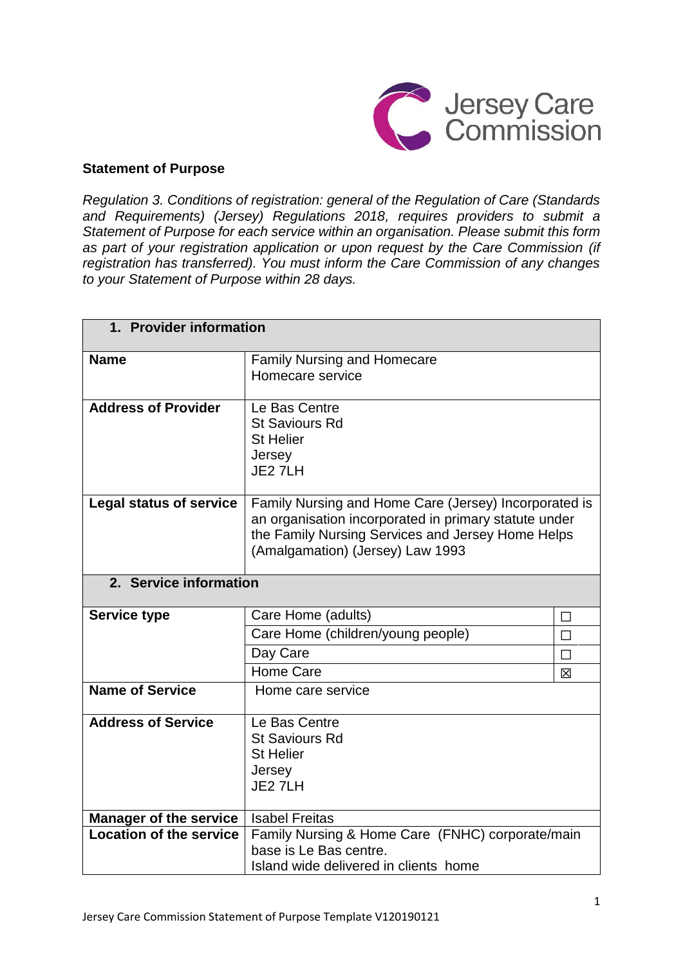

#### **Statement of Purpose**

*Regulation 3. Conditions of registration: general of the Regulation of Care (Standards and Requirements) (Jersey) Regulations 2018, requires providers to submit a Statement of Purpose for each service within an organisation. Please submit this form as part of your registration application or upon request by the Care Commission (if registration has transferred). You must inform the Care Commission of any changes to your Statement of Purpose within 28 days.*

| 1. Provider information        |                                                                                                                                                                                                         |        |
|--------------------------------|---------------------------------------------------------------------------------------------------------------------------------------------------------------------------------------------------------|--------|
| <b>Name</b>                    | <b>Family Nursing and Homecare</b><br>Homecare service                                                                                                                                                  |        |
| <b>Address of Provider</b>     | Le Bas Centre<br><b>St Saviours Rd</b><br><b>St Helier</b><br>Jersey<br>JE <sub>2</sub> 7LH                                                                                                             |        |
| <b>Legal status of service</b> | Family Nursing and Home Care (Jersey) Incorporated is<br>an organisation incorporated in primary statute under<br>the Family Nursing Services and Jersey Home Helps<br>(Amalgamation) (Jersey) Law 1993 |        |
| 2. Service information         |                                                                                                                                                                                                         |        |
| <b>Service type</b>            | Care Home (adults)                                                                                                                                                                                      | $\Box$ |
|                                | Care Home (children/young people)                                                                                                                                                                       | $\Box$ |
|                                | Day Care                                                                                                                                                                                                | $\Box$ |
|                                | Home Care                                                                                                                                                                                               | 区      |
| <b>Name of Service</b>         | Home care service                                                                                                                                                                                       |        |
| <b>Address of Service</b>      | Le Bas Centre<br><b>St Saviours Rd</b><br><b>St Helier</b><br>Jersey<br>JE <sub>2</sub> 7LH                                                                                                             |        |
| <b>Manager of the service</b>  | <b>Isabel Freitas</b>                                                                                                                                                                                   |        |
| <b>Location of the service</b> | Family Nursing & Home Care (FNHC) corporate/main<br>base is Le Bas centre.<br>Island wide delivered in clients home                                                                                     |        |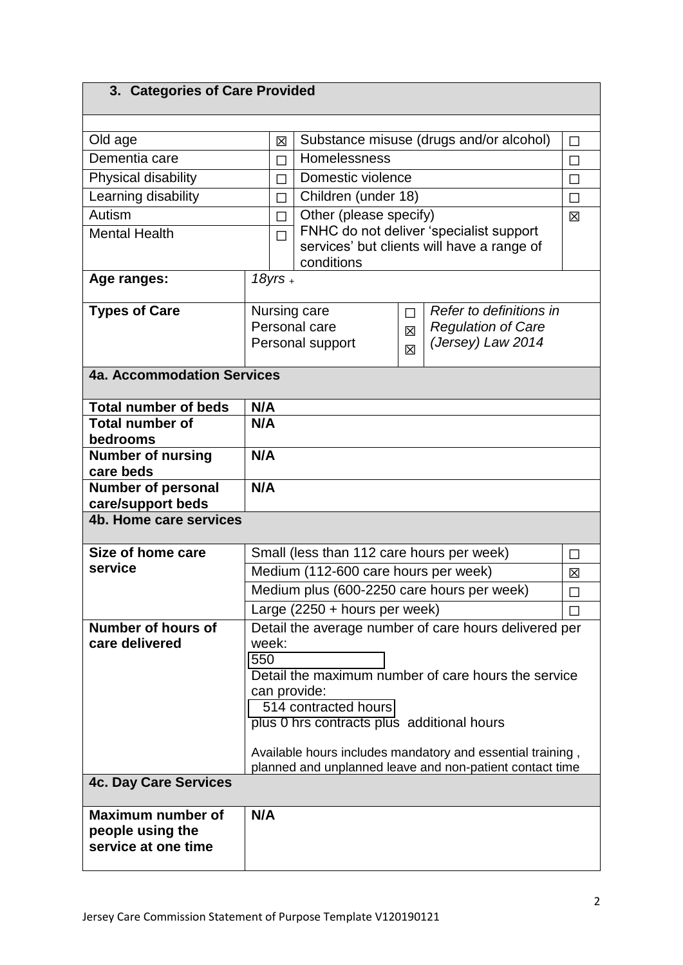# **3. Categories of Care Provided**

| Old age                                 |                                            | 冈      |                                                                                       |   | Substance misuse (drugs and/or alcohol)                    | П |
|-----------------------------------------|--------------------------------------------|--------|---------------------------------------------------------------------------------------|---|------------------------------------------------------------|---|
| Dementia care                           |                                            | П      | Homelessness                                                                          |   |                                                            | П |
| Physical disability                     |                                            | П      | Domestic violence                                                                     |   |                                                            | □ |
| Learning disability                     |                                            | $\Box$ | Children (under 18)                                                                   |   |                                                            | П |
| Autism                                  |                                            | П      | Other (please specify)                                                                |   |                                                            | 区 |
| <b>Mental Health</b>                    |                                            | П      | FNHC do not deliver 'specialist support<br>services' but clients will have a range of |   |                                                            |   |
|                                         |                                            |        | conditions                                                                            |   |                                                            |   |
| Age ranges:                             | $18$ yrs $+$                               |        |                                                                                       |   |                                                            |   |
|                                         |                                            |        |                                                                                       |   |                                                            |   |
| <b>Types of Care</b>                    |                                            |        | Nursing care<br>Personal care                                                         | П | Refer to definitions in<br><b>Regulation of Care</b>       |   |
|                                         |                                            |        | Personal support                                                                      | 区 | (Jersey) Law 2014                                          |   |
|                                         |                                            |        |                                                                                       | 冈 |                                                            |   |
| <b>4a. Accommodation Services</b>       |                                            |        |                                                                                       |   |                                                            |   |
| <b>Total number of beds</b>             | N/A                                        |        |                                                                                       |   |                                                            |   |
| <b>Total number of</b>                  | N/A                                        |        |                                                                                       |   |                                                            |   |
| bedrooms                                |                                            |        |                                                                                       |   |                                                            |   |
| <b>Number of nursing</b><br>care beds   | N/A                                        |        |                                                                                       |   |                                                            |   |
| <b>Number of personal</b>               | N/A                                        |        |                                                                                       |   |                                                            |   |
| care/support beds                       |                                            |        |                                                                                       |   |                                                            |   |
| 4b. Home care services                  |                                            |        |                                                                                       |   |                                                            |   |
| Size of home care                       |                                            |        | Small (less than 112 care hours per week)                                             |   |                                                            | П |
| service                                 | Medium (112-600 care hours per week)       |        |                                                                                       |   | 図                                                          |   |
|                                         | Medium plus (600-2250 care hours per week) |        |                                                                                       |   | П                                                          |   |
|                                         |                                            |        | Large (2250 + hours per week)                                                         |   |                                                            |   |
| <b>Number of hours of</b>               |                                            |        |                                                                                       |   | Detail the average number of care hours delivered per      |   |
| care delivered                          | week:                                      |        |                                                                                       |   |                                                            |   |
|                                         | 550                                        |        |                                                                                       |   | Detail the maximum number of care hours the service        |   |
|                                         |                                            |        | can provide:                                                                          |   |                                                            |   |
|                                         |                                            |        | 514 contracted hours                                                                  |   |                                                            |   |
|                                         |                                            |        | plus 0 hrs contracts plus additional hours                                            |   |                                                            |   |
|                                         |                                            |        |                                                                                       |   | Available hours includes mandatory and essential training, |   |
|                                         |                                            |        |                                                                                       |   | planned and unplanned leave and non-patient contact time   |   |
| <b>4c. Day Care Services</b>            |                                            |        |                                                                                       |   |                                                            |   |
| Maximum number of                       | N/A                                        |        |                                                                                       |   |                                                            |   |
| people using the<br>service at one time |                                            |        |                                                                                       |   |                                                            |   |
|                                         |                                            |        |                                                                                       |   |                                                            |   |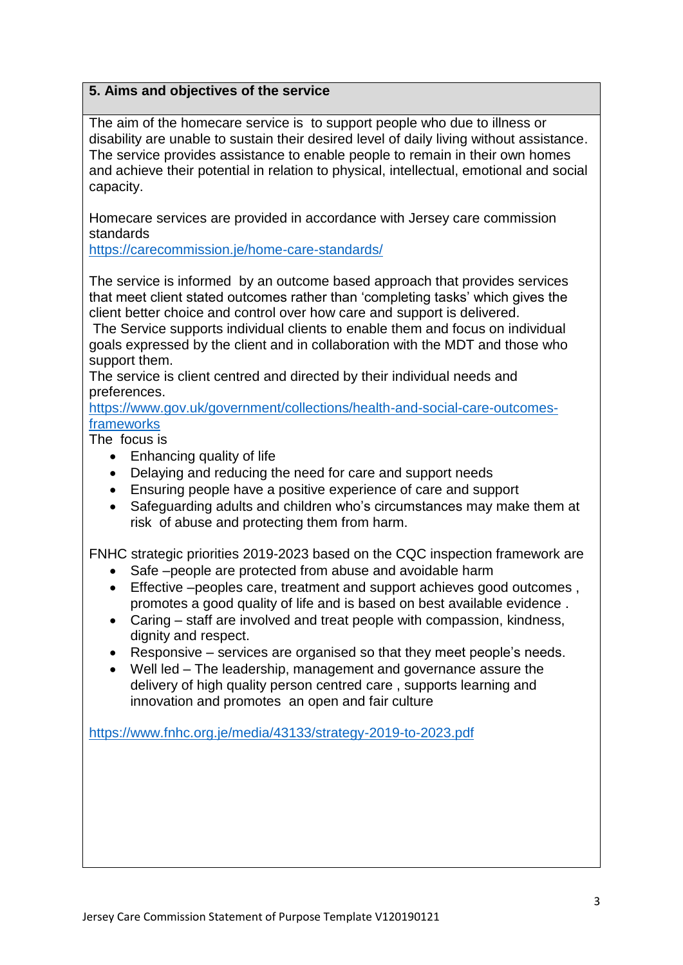#### **5. Aims and objectives of the service**

The aim of the homecare service is to support people who due to illness or disability are unable to sustain their desired level of daily living without assistance. The service provides assistance to enable people to remain in their own homes and achieve their potential in relation to physical, intellectual, emotional and social capacity.

Homecare services are provided in accordance with Jersey care commission standards

<https://carecommission.je/home-care-standards/>

The service is informed by an outcome based approach that provides services that meet client stated outcomes rather than 'completing tasks' which gives the client better choice and control over how care and support is delivered.

The Service supports individual clients to enable them and focus on individual goals expressed by the client and in collaboration with the MDT and those who support them.

The service is client centred and directed by their individual needs and preferences.

[https://www.gov.uk/government/collections/health-and-social-care-outcomes](https://www.gov.uk/government/collections/health-and-social-care-outcomes-frameworks)[frameworks](https://www.gov.uk/government/collections/health-and-social-care-outcomes-frameworks)

The focus is

- Enhancing quality of life
- Delaying and reducing the need for care and support needs
- Ensuring people have a positive experience of care and support
- Safeguarding adults and children who's circumstances may make them at risk of abuse and protecting them from harm.

FNHC strategic priorities 2019-2023 based on the CQC inspection framework are

- Safe –people are protected from abuse and avoidable harm
- Effective –peoples care, treatment and support achieves good outcomes , promotes a good quality of life and is based on best available evidence .
- Caring staff are involved and treat people with compassion, kindness, dignity and respect.
- Responsive services are organised so that they meet people's needs.
- Well led The leadership, management and governance assure the delivery of high quality person centred care , supports learning and innovation and promotes an open and fair culture

<https://www.fnhc.org.je/media/43133/strategy-2019-to-2023.pdf>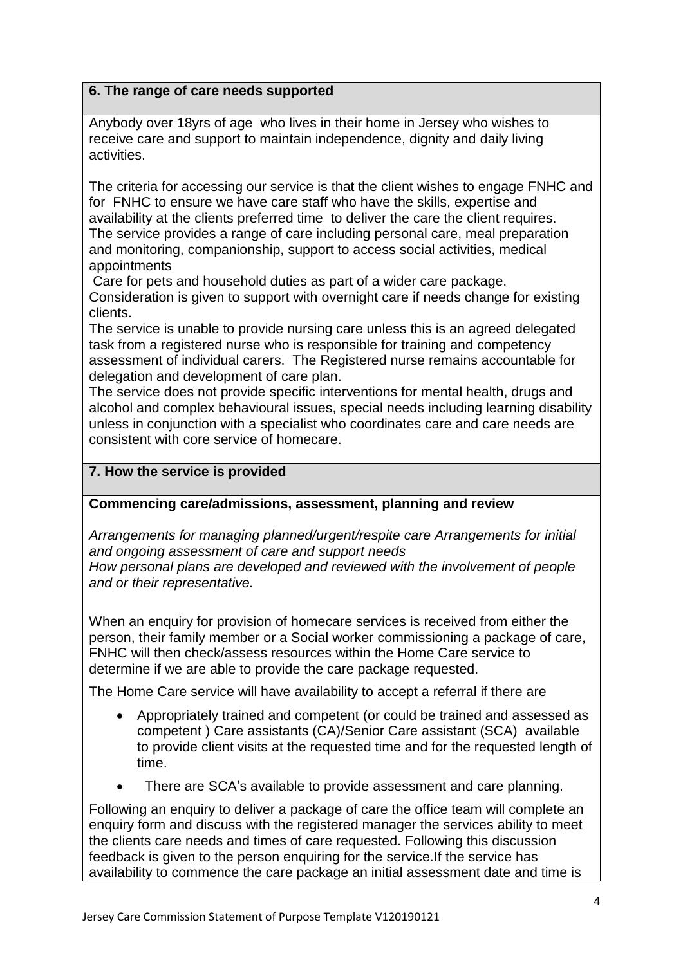## **6. The range of care needs supported**

Anybody over 18yrs of age who lives in their home in Jersey who wishes to receive care and support to maintain independence, dignity and daily living activities.

The criteria for accessing our service is that the client wishes to engage FNHC and for FNHC to ensure we have care staff who have the skills, expertise and availability at the clients preferred time to deliver the care the client requires. The service provides a range of care including personal care, meal preparation and monitoring, companionship, support to access social activities, medical appointments

Care for pets and household duties as part of a wider care package. Consideration is given to support with overnight care if needs change for existing clients.

The service is unable to provide nursing care unless this is an agreed delegated task from a registered nurse who is responsible for training and competency assessment of individual carers. The Registered nurse remains accountable for delegation and development of care plan.

The service does not provide specific interventions for mental health, drugs and alcohol and complex behavioural issues, special needs including learning disability unless in conjunction with a specialist who coordinates care and care needs are consistent with core service of homecare.

## **7. How the service is provided**

**Commencing care/admissions, assessment, planning and review**

*Arrangements for managing planned/urgent/respite care Arrangements for initial and ongoing assessment of care and support needs How personal plans are developed and reviewed with the involvement of people and or their representative.*

When an enquiry for provision of homecare services is received from either the person, their family member or a Social worker commissioning a package of care, FNHC will then check/assess resources within the Home Care service to determine if we are able to provide the care package requested.

The Home Care service will have availability to accept a referral if there are

- Appropriately trained and competent (or could be trained and assessed as competent ) Care assistants (CA)/Senior Care assistant (SCA) available to provide client visits at the requested time and for the requested length of time.
- There are SCA's available to provide assessment and care planning.

Following an enquiry to deliver a package of care the office team will complete an enquiry form and discuss with the registered manager the services ability to meet the clients care needs and times of care requested. Following this discussion feedback is given to the person enquiring for the service.If the service has availability to commence the care package an initial assessment date and time is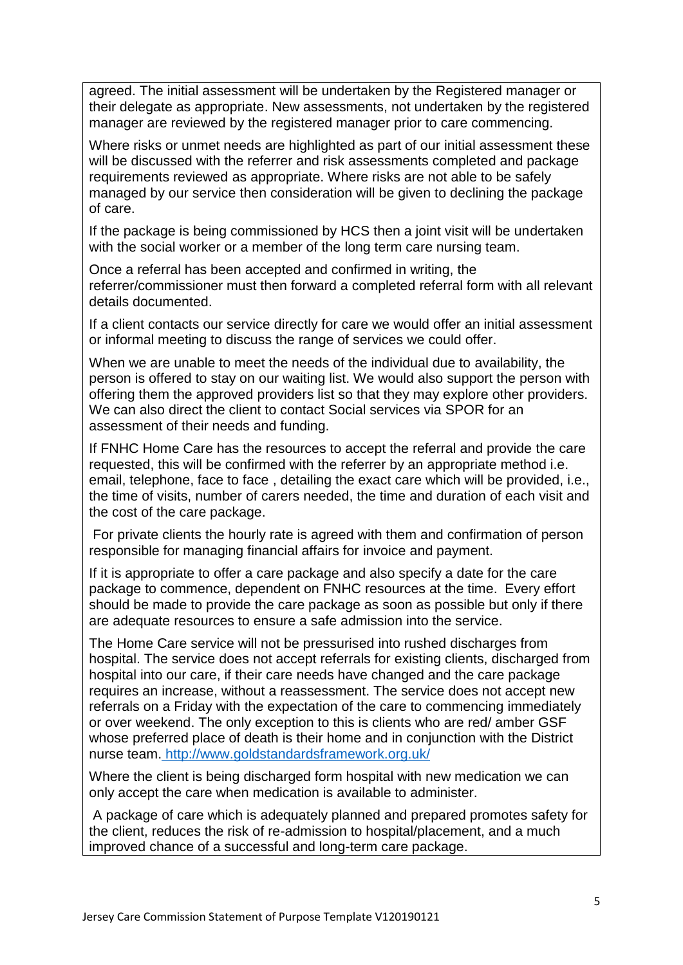agreed. The initial assessment will be undertaken by the Registered manager or their delegate as appropriate. New assessments, not undertaken by the registered manager are reviewed by the registered manager prior to care commencing.

Where risks or unmet needs are highlighted as part of our initial assessment these will be discussed with the referrer and risk assessments completed and package requirements reviewed as appropriate. Where risks are not able to be safely managed by our service then consideration will be given to declining the package of care.

If the package is being commissioned by HCS then a joint visit will be undertaken with the social worker or a member of the long term care nursing team.

Once a referral has been accepted and confirmed in writing, the referrer/commissioner must then forward a completed referral form with all relevant details documented.

If a client contacts our service directly for care we would offer an initial assessment or informal meeting to discuss the range of services we could offer.

When we are unable to meet the needs of the individual due to availability, the person is offered to stay on our waiting list. We would also support the person with offering them the approved providers list so that they may explore other providers. We can also direct the client to contact Social services via SPOR for an assessment of their needs and funding.

If FNHC Home Care has the resources to accept the referral and provide the care requested, this will be confirmed with the referrer by an appropriate method i.e. email, telephone, face to face , detailing the exact care which will be provided, i.e., the time of visits, number of carers needed, the time and duration of each visit and the cost of the care package.

For private clients the hourly rate is agreed with them and confirmation of person responsible for managing financial affairs for invoice and payment.

If it is appropriate to offer a care package and also specify a date for the care package to commence, dependent on FNHC resources at the time. Every effort should be made to provide the care package as soon as possible but only if there are adequate resources to ensure a safe admission into the service.

The Home Care service will not be pressurised into rushed discharges from hospital. The service does not accept referrals for existing clients, discharged from hospital into our care, if their care needs have changed and the care package requires an increase, without a reassessment. The service does not accept new referrals on a Friday with the expectation of the care to commencing immediately or over weekend. The only exception to this is clients who are red/ amber GSF whose preferred place of death is their home and in conjunction with the District nurse team. <http://www.goldstandardsframework.org.uk/>

Where the client is being discharged form hospital with new medication we can only accept the care when medication is available to administer.

A package of care which is adequately planned and prepared promotes safety for the client, reduces the risk of re-admission to hospital/placement, and a much improved chance of a successful and long-term care package.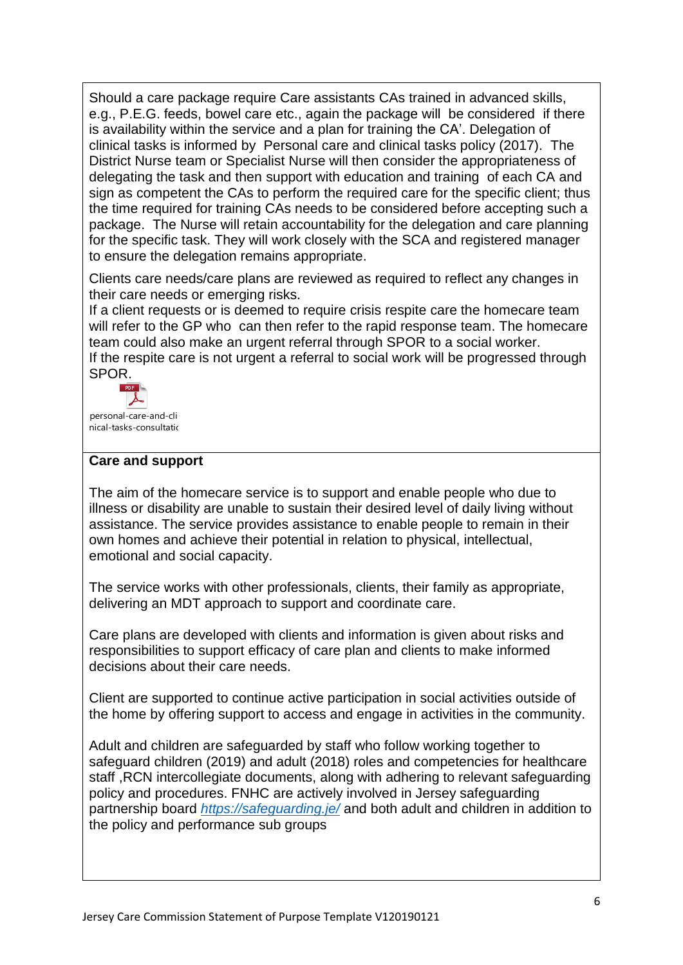Should a care package require Care assistants CAs trained in advanced skills, e.g., P.E.G. feeds, bowel care etc., again the package will be considered if there is availability within the service and a plan for training the CA'. Delegation of clinical tasks is informed by Personal care and clinical tasks policy (2017). The District Nurse team or Specialist Nurse will then consider the appropriateness of delegating the task and then support with education and training of each CA and sign as competent the CAs to perform the required care for the specific client; thus the time required for training CAs needs to be considered before accepting such a package. The Nurse will retain accountability for the delegation and care planning for the specific task. They will work closely with the SCA and registered manager to ensure the delegation remains appropriate.

Clients care needs/care plans are reviewed as required to reflect any changes in their care needs or emerging risks.

If a client requests or is deemed to require crisis respite care the homecare team will refer to the GP who can then refer to the rapid response team. The homecare team could also make an urgent referral through SPOR to a social worker. If the respite care is not urgent a referral to social work will be progressed through



nical-tasks-consultatic

## **Care and support**

The aim of the homecare service is to support and enable people who due to illness or disability are unable to sustain their desired level of daily living without assistance. The service provides assistance to enable people to remain in their own homes and achieve their potential in relation to physical, intellectual, emotional and social capacity.

The service works with other professionals, clients, their family as appropriate, delivering an MDT approach to support and coordinate care.

Care plans are developed with clients and information is given about risks and responsibilities to support efficacy of care plan and clients to make informed decisions about their care needs.

Client are supported to continue active participation in social activities outside of the home by offering support to access and engage in activities in the community.

Adult and children are safeguarded by staff who follow working together to safeguard children (2019) and adult (2018) roles and competencies for healthcare staff ,RCN intercollegiate documents, along with adhering to relevant safeguarding policy and procedures. FNHC are actively involved in Jersey safeguarding partnership board *<https://safeguarding.je/>* and both adult and children in addition to the policy and performance sub groups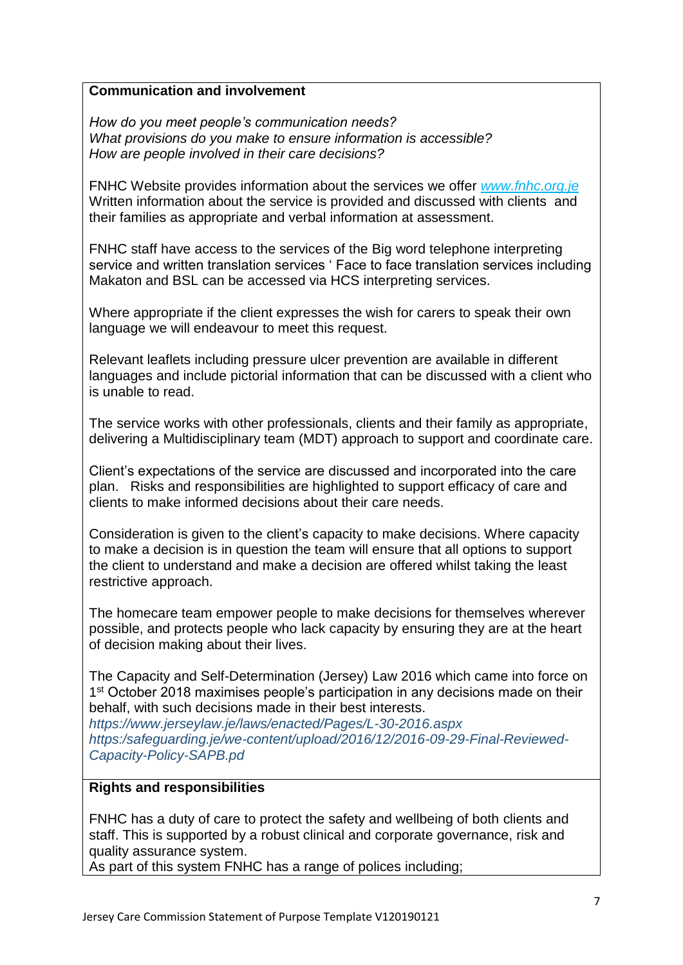#### **Communication and involvement**

*How do you meet people's communication needs? What provisions do you make to ensure information is accessible? How are people involved in their care decisions?*

FNHC Website provides information about the services we offer *[www.fnhc.org.je](http://www.fnhc.org.je/)* Written information about the service is provided and discussed with clients and their families as appropriate and verbal information at assessment.

FNHC staff have access to the services of the Big word telephone interpreting service and written translation services ' Face to face translation services including Makaton and BSL can be accessed via HCS interpreting services.

Where appropriate if the client expresses the wish for carers to speak their own language we will endeavour to meet this request.

Relevant leaflets including pressure ulcer prevention are available in different languages and include pictorial information that can be discussed with a client who is unable to read.

The service works with other professionals, clients and their family as appropriate, delivering a Multidisciplinary team (MDT) approach to support and coordinate care.

Client's expectations of the service are discussed and incorporated into the care plan. Risks and responsibilities are highlighted to support efficacy of care and clients to make informed decisions about their care needs.

Consideration is given to the client's capacity to make decisions. Where capacity to make a decision is in question the team will ensure that all options to support the client to understand and make a decision are offered whilst taking the least restrictive approach.

The homecare team empower people to make decisions for themselves wherever possible, and protects people who lack capacity by ensuring they are at the heart of decision making about their lives.

The Capacity and Self-Determination (Jersey) Law 2016 which came into force on 1<sup>st</sup> October 2018 maximises people's participation in any decisions made on their behalf, with such decisions made in their best interests.

*https://www.jerseylaw.je/laws/enacted/Pages/L-30-2016.aspx https:/safeguarding.je/we-content/upload/2016/12/2016-09-29-Final-Reviewed-Capacity-Policy-SAPB.pd*

#### **Rights and responsibilities**

FNHC has a duty of care to protect the safety and wellbeing of both clients and staff. This is supported by a robust clinical and corporate governance, risk and quality assurance system.

As part of this system FNHC has a range of polices including;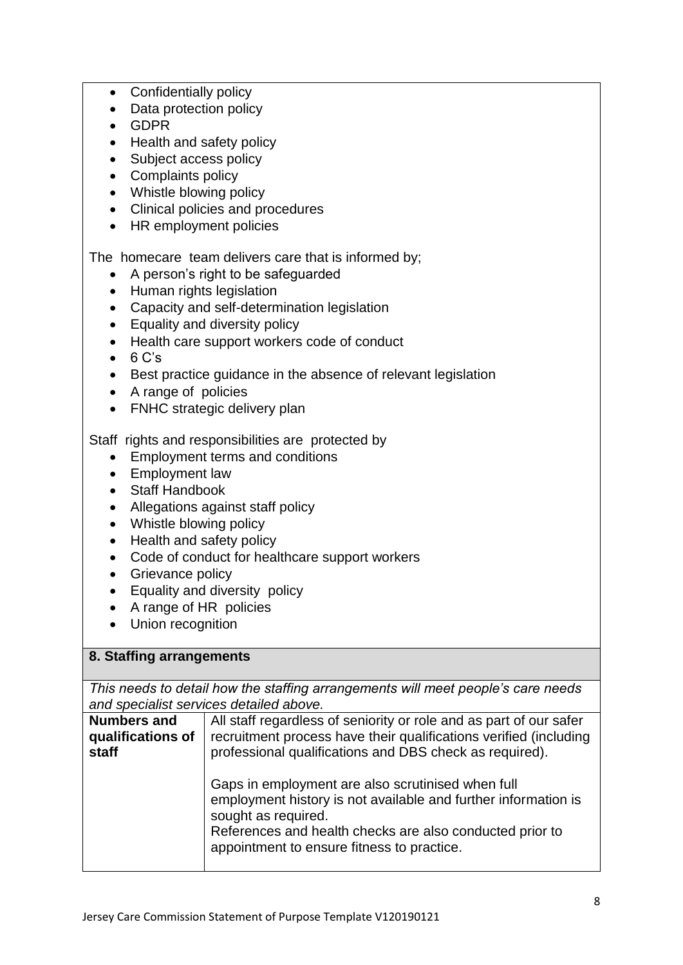- Confidentially policy
- Data protection policy
- GDPR
- Health and safety policy
- Subject access policy
- Complaints policy
- Whistle blowing policy
- Clinical policies and procedures
- HR employment policies

The homecare team delivers care that is informed by;

- A person's right to be safeguarded
- Human rights legislation
- Capacity and self-determination legislation
- Equality and diversity policy
- Health care support workers code of conduct
- $-6 C's$
- Best practice quidance in the absence of relevant legislation
- A range of policies
- FNHC strategic delivery plan

Staff rights and responsibilities are protected by

- Employment terms and conditions
- Employment law
- Staff Handbook
- Allegations against staff policy
- Whistle blowing policy
- Health and safety policy
- Code of conduct for healthcare support workers
- Grievance policy
- Equality and diversity policy
- A range of HR policies
- Union recognition

## **8. Staffing arrangements**

*This needs to detail how the staffing arrangements will meet people's care needs and specialist services detailed above.*

| <b>Numbers and</b><br>qualifications of<br>staff | All staff regardless of seniority or role and as part of our safer<br>recruitment process have their qualifications verified (including<br>professional qualifications and DBS check as required).                                                   |
|--------------------------------------------------|------------------------------------------------------------------------------------------------------------------------------------------------------------------------------------------------------------------------------------------------------|
|                                                  | Gaps in employment are also scrutinised when full<br>employment history is not available and further information is<br>sought as required.<br>References and health checks are also conducted prior to<br>appointment to ensure fitness to practice. |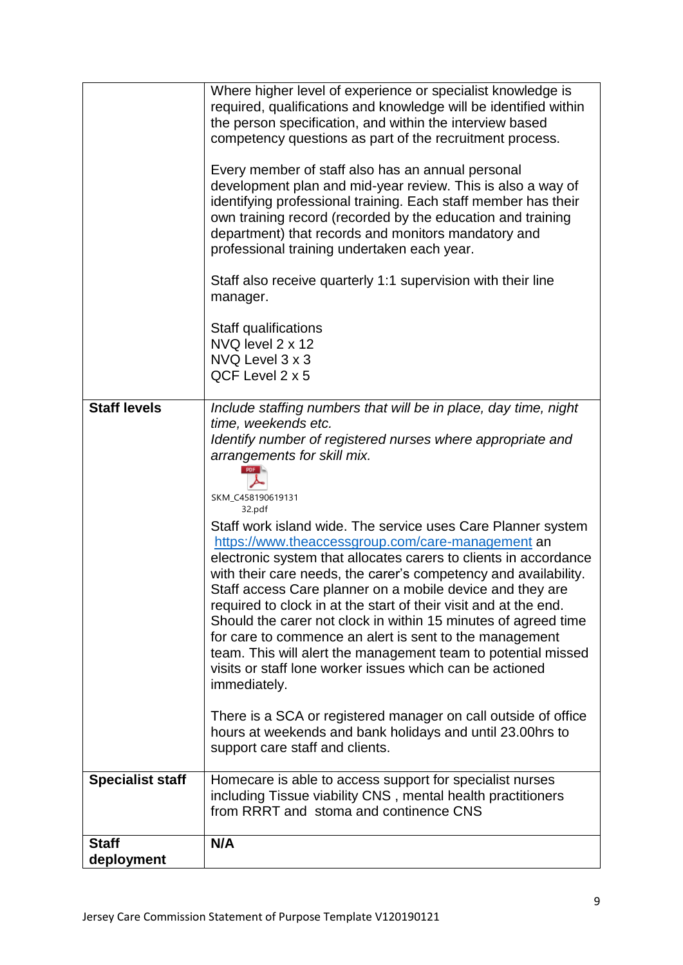| <b>Staff</b><br>deployment | N/A                                                                                                                                                                                                                                                                                                                                                                                                                                                                                                                                                                                                                |
|----------------------------|--------------------------------------------------------------------------------------------------------------------------------------------------------------------------------------------------------------------------------------------------------------------------------------------------------------------------------------------------------------------------------------------------------------------------------------------------------------------------------------------------------------------------------------------------------------------------------------------------------------------|
| <b>Specialist staff</b>    | Homecare is able to access support for specialist nurses<br>including Tissue viability CNS, mental health practitioners<br>from RRRT and stoma and continence CNS                                                                                                                                                                                                                                                                                                                                                                                                                                                  |
|                            | team. This will alert the management team to potential missed<br>visits or staff lone worker issues which can be actioned<br>immediately.<br>There is a SCA or registered manager on call outside of office<br>hours at weekends and bank holidays and until 23.00hrs to<br>support care staff and clients.                                                                                                                                                                                                                                                                                                        |
|                            | 32.pdf<br>Staff work island wide. The service uses Care Planner system<br>https://www.theaccessgroup.com/care-management an<br>electronic system that allocates carers to clients in accordance<br>with their care needs, the carer's competency and availability.<br>Staff access Care planner on a mobile device and they are<br>required to clock in at the start of their visit and at the end.<br>Should the carer not clock in within 15 minutes of agreed time<br>for care to commence an alert is sent to the management                                                                                   |
| <b>Staff levels</b>        | Include staffing numbers that will be in place, day time, night<br>time, weekends etc.<br>Identify number of registered nurses where appropriate and<br>arrangements for skill mix.<br>SKM_C458190619131                                                                                                                                                                                                                                                                                                                                                                                                           |
|                            | Staff also receive quarterly 1:1 supervision with their line<br>manager.<br><b>Staff qualifications</b><br>NVQ level 2 x 12<br>NVQ Level 3 x 3<br>QCF Level 2 x 5                                                                                                                                                                                                                                                                                                                                                                                                                                                  |
|                            | Where higher level of experience or specialist knowledge is<br>required, qualifications and knowledge will be identified within<br>the person specification, and within the interview based<br>competency questions as part of the recruitment process.<br>Every member of staff also has an annual personal<br>development plan and mid-year review. This is also a way of<br>identifying professional training. Each staff member has their<br>own training record (recorded by the education and training<br>department) that records and monitors mandatory and<br>professional training undertaken each year. |
|                            |                                                                                                                                                                                                                                                                                                                                                                                                                                                                                                                                                                                                                    |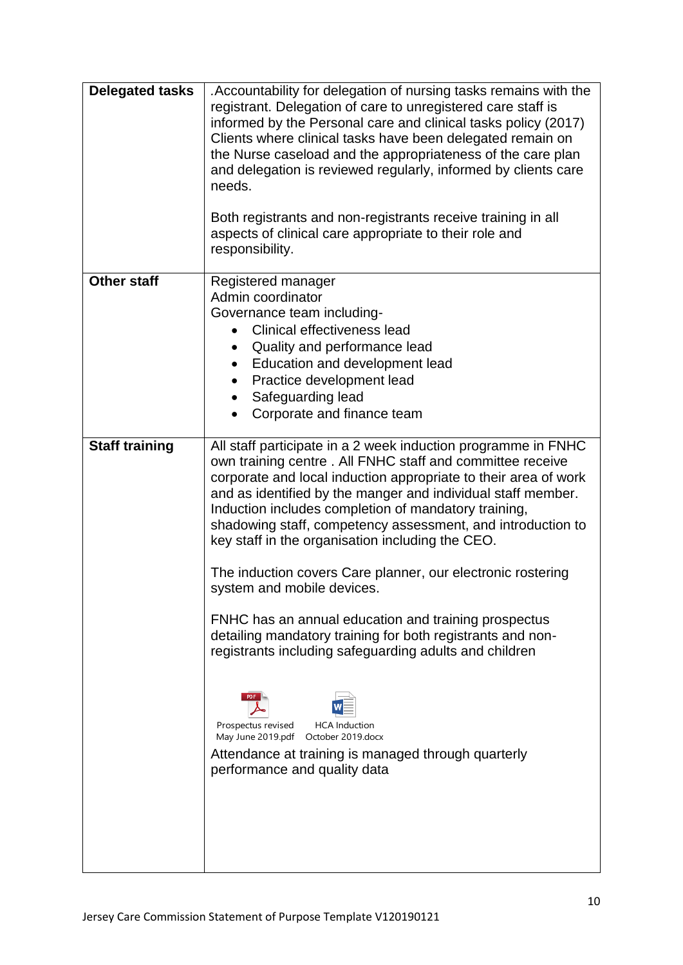| <b>Delegated tasks</b> | Accountability for delegation of nursing tasks remains with the<br>registrant. Delegation of care to unregistered care staff is<br>informed by the Personal care and clinical tasks policy (2017)<br>Clients where clinical tasks have been delegated remain on<br>the Nurse caseload and the appropriateness of the care plan<br>and delegation is reviewed regularly, informed by clients care<br>needs.<br>Both registrants and non-registrants receive training in all<br>aspects of clinical care appropriate to their role and<br>responsibility.                                                                                                                                                                                                                                                                                                                                                           |
|------------------------|-------------------------------------------------------------------------------------------------------------------------------------------------------------------------------------------------------------------------------------------------------------------------------------------------------------------------------------------------------------------------------------------------------------------------------------------------------------------------------------------------------------------------------------------------------------------------------------------------------------------------------------------------------------------------------------------------------------------------------------------------------------------------------------------------------------------------------------------------------------------------------------------------------------------|
| <b>Other staff</b>     | Registered manager<br>Admin coordinator<br>Governance team including-<br>Clinical effectiveness lead<br>Quality and performance lead<br>$\bullet$<br>Education and development lead<br>$\bullet$<br>Practice development lead<br>Safeguarding lead<br>Corporate and finance team<br>$\bullet$                                                                                                                                                                                                                                                                                                                                                                                                                                                                                                                                                                                                                     |
| <b>Staff training</b>  | All staff participate in a 2 week induction programme in FNHC<br>own training centre . All FNHC staff and committee receive<br>corporate and local induction appropriate to their area of work<br>and as identified by the manger and individual staff member.<br>Induction includes completion of mandatory training,<br>shadowing staff, competency assessment, and introduction to<br>key staff in the organisation including the CEO.<br>The induction covers Care planner, our electronic rostering<br>system and mobile devices.<br>FNHC has an annual education and training prospectus<br>detailing mandatory training for both registrants and non-<br>registrants including safeguarding adults and children<br><b>PDF</b><br>Prospectus revised<br><b>HCA</b> Induction<br>May June 2019.pdf  October 2019.docx<br>Attendance at training is managed through quarterly<br>performance and quality data |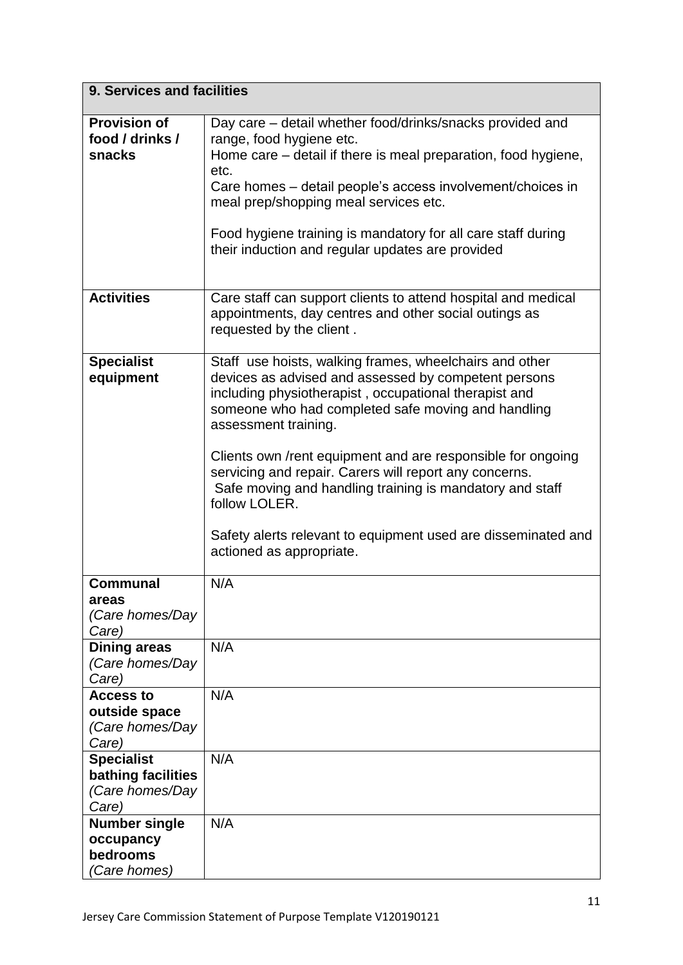| 9. Services and facilities                                          |                                                                                                                                                                                                                                                                                                                                                                                                                                                                                                                                                           |
|---------------------------------------------------------------------|-----------------------------------------------------------------------------------------------------------------------------------------------------------------------------------------------------------------------------------------------------------------------------------------------------------------------------------------------------------------------------------------------------------------------------------------------------------------------------------------------------------------------------------------------------------|
| <b>Provision of</b><br>food / drinks /<br>snacks                    | Day care – detail whether food/drinks/snacks provided and<br>range, food hygiene etc.<br>Home care – detail if there is meal preparation, food hygiene,<br>etc.<br>Care homes – detail people's access involvement/choices in<br>meal prep/shopping meal services etc.<br>Food hygiene training is mandatory for all care staff during<br>their induction and regular updates are provided                                                                                                                                                                |
| <b>Activities</b>                                                   | Care staff can support clients to attend hospital and medical<br>appointments, day centres and other social outings as<br>requested by the client.                                                                                                                                                                                                                                                                                                                                                                                                        |
| <b>Specialist</b><br>equipment                                      | Staff use hoists, walking frames, wheelchairs and other<br>devices as advised and assessed by competent persons<br>including physiotherapist, occupational therapist and<br>someone who had completed safe moving and handling<br>assessment training.<br>Clients own /rent equipment and are responsible for ongoing<br>servicing and repair. Carers will report any concerns.<br>Safe moving and handling training is mandatory and staff<br>follow LOLER.<br>Safety alerts relevant to equipment used are disseminated and<br>actioned as appropriate. |
| <b>Communal</b><br>areas<br>(Care homes/Day<br>Care)                | N/A                                                                                                                                                                                                                                                                                                                                                                                                                                                                                                                                                       |
| <b>Dining areas</b><br>(Care homes/Day<br>Care)                     | N/A                                                                                                                                                                                                                                                                                                                                                                                                                                                                                                                                                       |
| <b>Access to</b><br>outside space<br>(Care homes/Day<br>Care)       | N/A                                                                                                                                                                                                                                                                                                                                                                                                                                                                                                                                                       |
| <b>Specialist</b><br>bathing facilities<br>(Care homes/Day<br>Care) | N/A                                                                                                                                                                                                                                                                                                                                                                                                                                                                                                                                                       |
| <b>Number single</b><br>occupancy<br>bedrooms<br>(Care homes)       | N/A                                                                                                                                                                                                                                                                                                                                                                                                                                                                                                                                                       |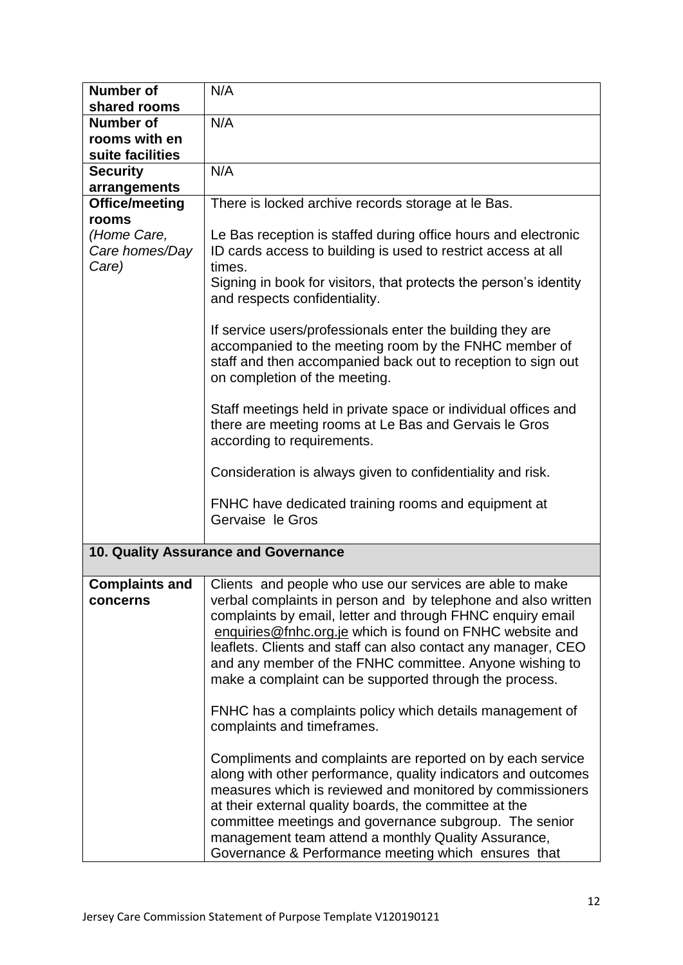| <b>Number of</b>      | N/A                                                                                                |
|-----------------------|----------------------------------------------------------------------------------------------------|
| shared rooms          |                                                                                                    |
| <b>Number of</b>      | N/A                                                                                                |
| rooms with en         |                                                                                                    |
| suite facilities      |                                                                                                    |
| <b>Security</b>       | N/A                                                                                                |
| arrangements          |                                                                                                    |
| Office/meeting        | There is locked archive records storage at le Bas.                                                 |
| rooms                 |                                                                                                    |
| (Home Care,           | Le Bas reception is staffed during office hours and electronic                                     |
| Care homes/Day        | ID cards access to building is used to restrict access at all                                      |
| Care)                 | times.                                                                                             |
|                       | Signing in book for visitors, that protects the person's identity<br>and respects confidentiality. |
|                       | If service users/professionals enter the building they are                                         |
|                       | accompanied to the meeting room by the FNHC member of                                              |
|                       | staff and then accompanied back out to reception to sign out                                       |
|                       | on completion of the meeting.                                                                      |
|                       |                                                                                                    |
|                       | Staff meetings held in private space or individual offices and                                     |
|                       | there are meeting rooms at Le Bas and Gervais le Gros                                              |
|                       | according to requirements.                                                                         |
|                       |                                                                                                    |
|                       | Consideration is always given to confidentiality and risk.                                         |
|                       | FNHC have dedicated training rooms and equipment at                                                |
|                       | Gervaise le Gros                                                                                   |
|                       |                                                                                                    |
|                       | 10. Quality Assurance and Governance                                                               |
| <b>Complaints and</b> | Clients and people who use our services are able to make                                           |
| concerns              | verbal complaints in person and by telephone and also written                                      |
|                       | complaints by email, letter and through FHNC enquiry email                                         |
|                       | enquiries@fnhc.org.je which is found on FNHC website and                                           |
|                       | leaflets. Clients and staff can also contact any manager, CEO                                      |
|                       | and any member of the FNHC committee. Anyone wishing to                                            |
|                       | make a complaint can be supported through the process.                                             |
|                       |                                                                                                    |
|                       | FNHC has a complaints policy which details management of                                           |
|                       | complaints and timeframes.                                                                         |
|                       | Compliments and complaints are reported on by each service                                         |
|                       | along with other performance, quality indicators and outcomes                                      |
|                       | measures which is reviewed and monitored by commissioners                                          |
|                       | at their external quality boards, the committee at the                                             |
|                       | committee meetings and governance subgroup. The senior                                             |
|                       | management team attend a monthly Quality Assurance,                                                |
|                       | Governance & Performance meeting which ensures that                                                |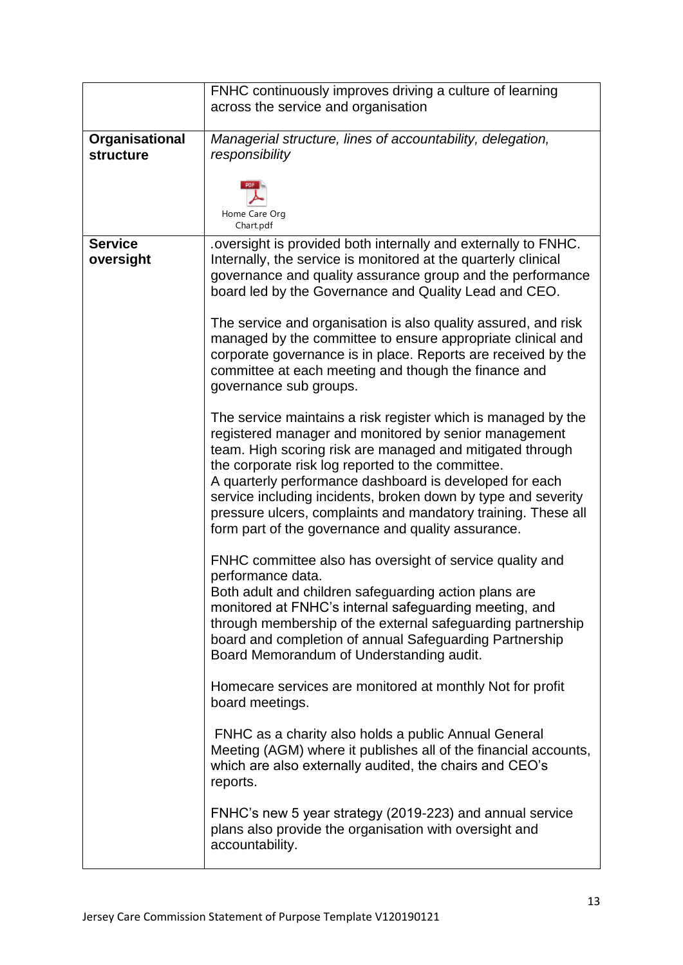|                                    | FNHC continuously improves driving a culture of learning<br>across the service and organisation                                                                                                                                                                                                                                                                                                                                                                                                                                                                                                                                                                                                                                                                                                                                                   |
|------------------------------------|---------------------------------------------------------------------------------------------------------------------------------------------------------------------------------------------------------------------------------------------------------------------------------------------------------------------------------------------------------------------------------------------------------------------------------------------------------------------------------------------------------------------------------------------------------------------------------------------------------------------------------------------------------------------------------------------------------------------------------------------------------------------------------------------------------------------------------------------------|
| Organisational<br><b>structure</b> | Managerial structure, lines of accountability, delegation,<br>responsibility<br><b>PDF</b><br>Home Care Org<br>Chart.pdf                                                                                                                                                                                                                                                                                                                                                                                                                                                                                                                                                                                                                                                                                                                          |
| <b>Service</b><br>oversight        | oversight is provided both internally and externally to FNHC.<br>Internally, the service is monitored at the quarterly clinical<br>governance and quality assurance group and the performance<br>board led by the Governance and Quality Lead and CEO.<br>The service and organisation is also quality assured, and risk<br>managed by the committee to ensure appropriate clinical and<br>corporate governance is in place. Reports are received by the<br>committee at each meeting and though the finance and<br>governance sub groups.<br>The service maintains a risk register which is managed by the<br>registered manager and monitored by senior management<br>team. High scoring risk are managed and mitigated through<br>the corporate risk log reported to the committee.<br>A quarterly performance dashboard is developed for each |
|                                    | service including incidents, broken down by type and severity<br>pressure ulcers, complaints and mandatory training. These all<br>form part of the governance and quality assurance.<br>FNHC committee also has oversight of service quality and<br>performance data.<br>Both adult and children safeguarding action plans are<br>monitored at FNHC's internal safeguarding meeting, and<br>through membership of the external safeguarding partnership<br>board and completion of annual Safeguarding Partnership<br>Board Memorandum of Understanding audit.                                                                                                                                                                                                                                                                                    |
|                                    | Homecare services are monitored at monthly Not for profit<br>board meetings.<br>FNHC as a charity also holds a public Annual General<br>Meeting (AGM) where it publishes all of the financial accounts,<br>which are also externally audited, the chairs and CEO's<br>reports.<br>FNHC's new 5 year strategy (2019-223) and annual service<br>plans also provide the organisation with oversight and<br>accountability.                                                                                                                                                                                                                                                                                                                                                                                                                           |